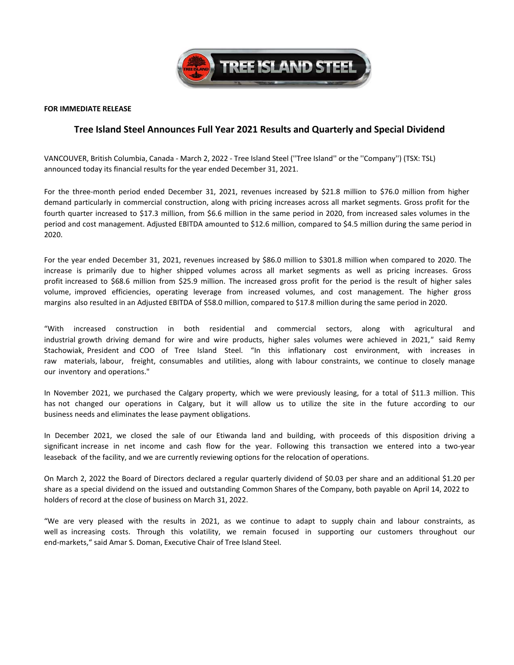

### **FOR IMMEDIATE RELEASE**

## **Tree Island Steel Announces Full Year 2021 Results and Quarterly and Special Dividend**

VANCOUVER, British Columbia, Canada ‐ March 2, 2022 ‐ Tree Island Steel (''Tree Island'' or the ''Company'') (TSX: TSL) announced today its financial results for the year ended December 31, 2021.

For the three‐month period ended December 31, 2021, revenues increased by \$21.8 million to \$76.0 million from higher demand particularly in commercial construction, along with pricing increases across all market segments. Gross profit for the fourth quarter increased to \$17.3 million, from \$6.6 million in the same period in 2020, from increased sales volumes in the period and cost management. Adjusted EBITDA amounted to \$12.6 million, compared to \$4.5 million during the same period in 2020.

For the year ended December 31, 2021, revenues increased by \$86.0 million to \$301.8 million when compared to 2020. The increase is primarily due to higher shipped volumes across all market segments as well as pricing increases. Gross profit increased to \$68.6 million from \$25.9 million. The increased gross profit for the period is the result of higher sales volume, improved efficiencies, operating leverage from increased volumes, and cost management. The higher gross margins also resulted in an Adjusted EBITDA of \$58.0 million, compared to \$17.8 million during the same period in 2020.

"With increased construction in both residential and commercial sectors, along with agricultural and industrial growth driving demand for wire and wire products, higher sales volumes were achieved in 2021,*"* said Remy Stachowiak, President and COO of Tree Island Steel. "In this inflationary cost environment, with increases in raw materials, labour, freight, consumables and utilities, along with labour constraints, we continue to closely manage our inventory and operations."

In November 2021, we purchased the Calgary property, which we were previously leasing, for a total of \$11.3 million. This has not changed our operations in Calgary, but it will allow us to utilize the site in the future according to our business needs and eliminates the lease payment obligations.

In December 2021, we closed the sale of our Etiwanda land and building, with proceeds of this disposition driving a significant increase in net income and cash flow for the year. Following this transaction we entered into a two-year leaseback of the facility, and we are currently reviewing options for the relocation of operations.

On March 2, 2022 the Board of Directors declared a regular quarterly dividend of \$0.03 per share and an additional \$1.20 per share as a special dividend on the issued and outstanding Common Shares of the Company, both payable on April 14, 2022 to holders of record at the close of business on March 31, 2022.

"We are very pleased with the results in 2021, as we continue to adapt to supply chain and labour constraints, as well as increasing costs. Through this volatility, we remain focused in supporting our customers throughout our end‐markets," said Amar S. Doman, Executive Chair of Tree Island Steel.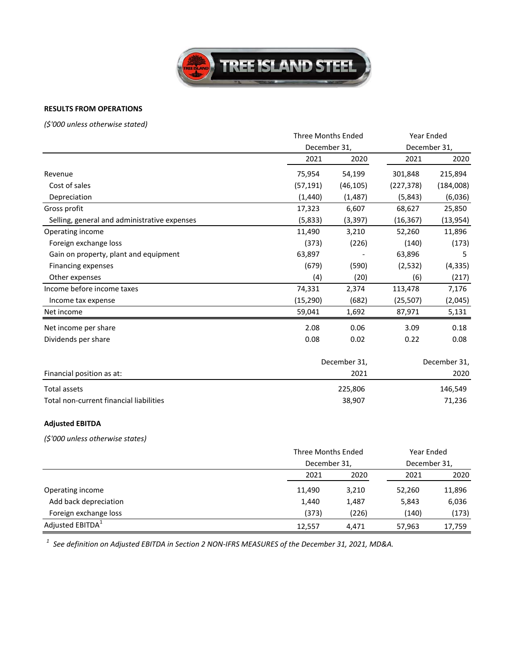

# **RESULTS FROM OPERATIONS**

*(\$'000 unless otherwise stated)*

|                                              |              | <b>Three Months Ended</b> |              | Year Ended   |  |
|----------------------------------------------|--------------|---------------------------|--------------|--------------|--|
|                                              | December 31, |                           |              | December 31, |  |
|                                              | 2021         | 2020                      | 2021         | 2020         |  |
| Revenue                                      | 75,954       | 54,199                    | 301,848      | 215,894      |  |
| Cost of sales                                | (57, 191)    | (46, 105)                 | (227, 378)   | (184,008)    |  |
| Depreciation                                 | (1,440)      | (1, 487)                  | (5,843)      | (6,036)      |  |
| Gross profit                                 | 17,323       | 6,607                     | 68,627       | 25,850       |  |
| Selling, general and administrative expenses | (5,833)      | (3, 397)                  | (16, 367)    | (13, 954)    |  |
| Operating income                             | 11,490       | 3,210                     | 52,260       | 11,896       |  |
| Foreign exchange loss                        | (373)        | (226)                     | (140)        | (173)        |  |
| Gain on property, plant and equipment        | 63,897       |                           | 63,896       | 5            |  |
| Financing expenses                           | (679)        | (590)                     | (2, 532)     | (4, 335)     |  |
| Other expenses                               | (4)          | (20)                      | (6)          | (217)        |  |
| Income before income taxes                   | 74,331       | 2,374                     | 113,478      | 7,176        |  |
| Income tax expense                           | (15, 290)    | (682)                     | (25, 507)    | (2,045)      |  |
| Net income                                   | 59,041       | 1,692                     | 87,971       | 5,131        |  |
| Net income per share                         | 2.08         | 0.06                      | 3.09         | 0.18         |  |
| Dividends per share                          | 0.08         | 0.02                      | 0.22         | 0.08         |  |
|                                              | December 31, |                           | December 31, |              |  |
| Financial position as at:                    |              | 2021                      |              | 2020         |  |
| <b>Total assets</b>                          |              | 225,806                   |              | 146,549      |  |
| Total non-current financial liabilities      |              | 38,907                    |              | 71,236       |  |
| <b>Adjusted EBITDA</b>                       |              |                           |              |              |  |
| (\$'000 unless otherwise states)             |              |                           |              |              |  |
|                                              |              | <b>Three Months Ended</b> |              | Year Ended   |  |
|                                              | December 31, |                           |              | December 31, |  |

|                              |        | 5000110001011 |        |        |  |
|------------------------------|--------|---------------|--------|--------|--|
|                              | 2021   | 2020          | 2021   | 2020   |  |
| Operating income             | 11,490 | 3,210         | 52,260 | 11,896 |  |
| Add back depreciation        | 1,440  | 1,487         | 5,843  | 6,036  |  |
| Foreign exchange loss        | (373)  | (226)         | (140)  | (173)  |  |
| Adjusted EBITDA <sup>1</sup> | 12,557 | 4,471         | 57,963 | 17,759 |  |

*<sup>1</sup> See definition on Adjusted EBITDA in Section 2 NON‐IFRS MEASURES of the December 31, 2021, MD&A.*